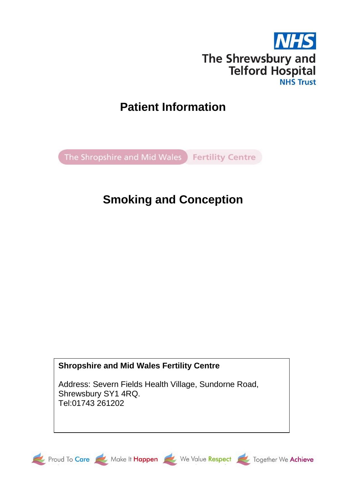

# **Patient Information**

The Shropshire and Mid Wales Fertility Centre

# **Smoking and Conception**

**Shropshire and Mid Wales Fertility Centre**

Address: Severn Fields Health Village, Sundorne Road, Shrewsbury SY1 4RQ. Tel:01743 261202







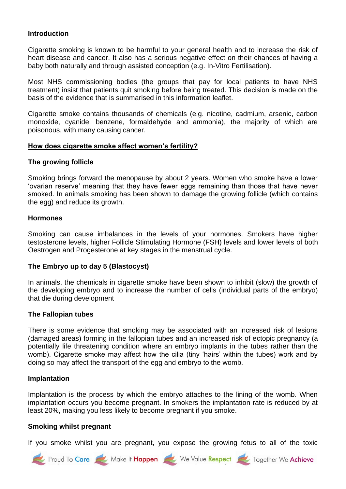## **Introduction**

Cigarette smoking is known to be harmful to your general health and to increase the risk of heart disease and cancer. It also has a serious negative effect on their chances of having a baby both naturally and through assisted conception (e.g. In-Vitro Fertilisation).

Most NHS commissioning bodies (the groups that pay for local patients to have NHS treatment) insist that patients quit smoking before being treated. This decision is made on the basis of the evidence that is summarised in this information leaflet.

Cigarette smoke contains thousands of chemicals (e.g. nicotine, cadmium, arsenic, carbon monoxide, cyanide, benzene, formaldehyde and ammonia), the majority of which are poisonous, with many causing cancer.

#### **How does cigarette smoke affect women's fertility?**

#### **The growing follicle**

Smoking brings forward the menopause by about 2 years. Women who smoke have a lower 'ovarian reserve' meaning that they have fewer eggs remaining than those that have never smoked. In animals smoking has been shown to damage the growing follicle (which contains the egg) and reduce its growth.

#### **Hormones**

Smoking can cause imbalances in the levels of your hormones. Smokers have higher testosterone levels, higher Follicle Stimulating Hormone (FSH) levels and lower levels of both Oestrogen and Progesterone at key stages in the menstrual cycle.

## **The Embryo up to day 5 (Blastocyst)**

In animals, the chemicals in cigarette smoke have been shown to inhibit (slow) the growth of the developing embryo and to increase the number of cells (individual parts of the embryo) that die during development

#### **The Fallopian tubes**

There is some evidence that smoking may be associated with an increased risk of lesions (damaged areas) forming in the fallopian tubes and an increased risk of ectopic pregnancy (a potentially life threatening condition where an embryo implants in the tubes rather than the womb). Cigarette smoke may affect how the cilia (tiny 'hairs' within the tubes) work and by doing so may affect the transport of the egg and embryo to the womb.

#### **Implantation**

Implantation is the process by which the embryo attaches to the lining of the womb. When implantation occurs you become pregnant. In smokers the implantation rate is reduced by at least 20%, making you less likely to become pregnant if you smoke.

#### **Smoking whilst pregnant**

If you smoke whilst you are pregnant, you expose the growing fetus to all of the toxic

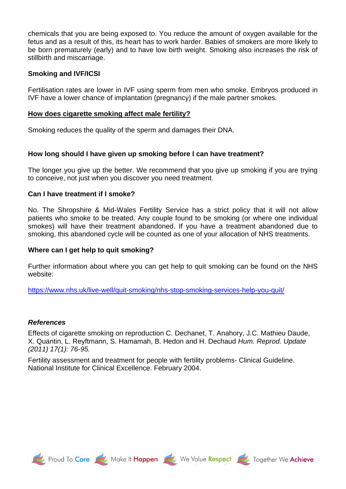chemicals that you are being exposed to. You reduce the amount of oxygen available for the fetus and as a result of this, its heart has to work harder. Babies of smokers are more likely to be born prematurely (early) and to have low birth weight. Smoking also increases the risk of stillbirth and miscarriage.

## **Smoking and IVF/ICSI**

Fertilisation rates are lower in IVF using sperm from men who smoke. Embryos produced in IVF have a lower chance of implantation (pregnancy) if the male partner smokes.

## **How does cigarette smoking affect male fertility?**

Smoking reduces the quality of the sperm and damages their DNA.

## **How long should I have given up smoking before I can have treatment?**

The longer you give up the better. We recommend that you give up smoking if you are trying to conceive, not just when you discover you need treatment.

## **Can I have treatment if I smoke?**

No. The Shropshire & Mid-Wales Fertility Service has a strict policy that it will not allow patients who smoke to be treated. Any couple found to be smoking (or where one individual smokes) will have their treatment abandoned. If you have a treatment abandoned due to smoking, this abandoned cycle will be counted as one of your allocation of NHS treatments.

## **Where can I get help to quit smoking?**

Further information about where you can get help to quit smoking can be found on the NHS website:

<https://www.nhs.uk/live-well/quit-smoking/nhs-stop-smoking-services-help-you-quit/>

## *References*

Effects of cigarette smoking on reproduction C. Dechanet, T. Anahory, J.C. Mathieu Daude, X. Quantin, L. Reyftmann, S. Hamamah, B. Hedon and H. Dechaud *Hum. Reprod. Update (2011) 17(1): 76-95.*

Fertility assessment and treatment for people with fertility problems- Clinical Guideline. National Institute for Clinical Excellence. February 2004.